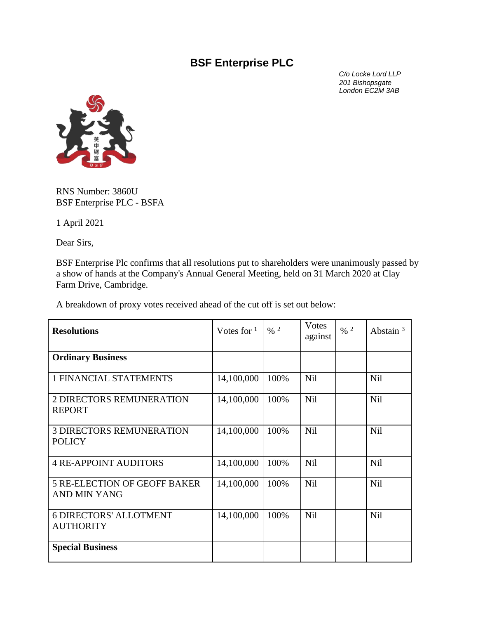## **BSF Enterprise PLC**

 *C/o Locke Lord LLP 201 Bishopsgate London EC2M 3AB*



RNS Number: 3860U BSF Enterprise PLC - BSFA

1 April 2021

Dear Sirs,

BSF Enterprise Plc confirms that all resolutions put to shareholders were unanimously passed by a show of hands at the Company's Annual General Meeting, held on 31 March 2020 at Clay Farm Drive, Cambridge.

A breakdown of proxy votes received ahead of the cut off is set out below:

| <b>Resolutions</b>                                  | Votes for $1$ | $\frac{0}{6}$ 2 | Votes<br>against | $\frac{9}{6}$ 2 | Abstain $3$ |
|-----------------------------------------------------|---------------|-----------------|------------------|-----------------|-------------|
| <b>Ordinary Business</b>                            |               |                 |                  |                 |             |
| <b>1 FINANCIAL STATEMENTS</b>                       | 14,100,000    | 100%            | Nil              |                 | Nil         |
| 2 DIRECTORS REMUNERATION<br><b>REPORT</b>           | 14,100,000    | 100%            | Nil              |                 | Nil         |
| <b>3 DIRECTORS REMUNERATION</b><br><b>POLICY</b>    | 14,100,000    | 100%            | <b>Nil</b>       |                 | Nil         |
| <b>4 RE-APPOINT AUDITORS</b>                        | 14,100,000    | 100%            | Nil              |                 | Nil         |
| <b>5 RE-ELECTION OF GEOFF BAKER</b><br>AND MIN YANG | 14,100,000    | 100%            | Nil              |                 | Nil         |
| <b>6 DIRECTORS' ALLOTMENT</b><br><b>AUTHORITY</b>   | 14,100,000    | 100%            | <b>Nil</b>       |                 | Nil         |
| <b>Special Business</b>                             |               |                 |                  |                 |             |